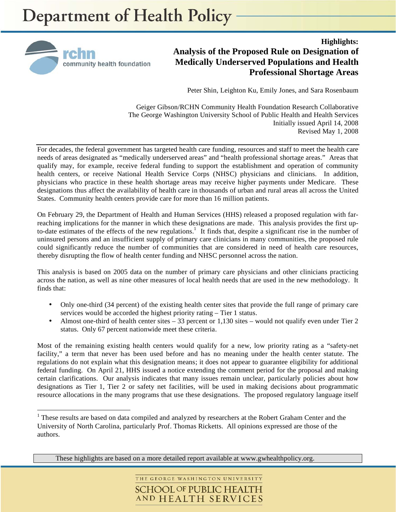

 $\overline{a}$ 

**Highlights: Analysis of the Proposed Rule on Designation of Medically Underserved Populations and Health Professional Shortage Areas** 

Peter Shin, Leighton Ku, Emily Jones, and Sara Rosenbaum

Geiger Gibson/RCHN Community Health Foundation Research Collaborative The George Washington University School of Public Health and Health Services Initially issued April 14, 2008 Revised May 1, 2008

For decades, the federal government has targeted health care funding, resources and staff to meet the health care needs of areas designated as "medically underserved areas" and "health professional shortage areas." Areas that qualify may, for example, receive federal funding to support the establishment and operation of community health centers, or receive National Health Service Corps (NHSC) physicians and clinicians. In addition, physicians who practice in these health shortage areas may receive higher payments under Medicare. These designations thus affect the availability of health care in thousands of urban and rural areas all across the United States. Community health centers provide care for more than 16 million patients.

On February 29, the Department of Health and Human Services (HHS) released a proposed regulation with farreaching implications for the manner in which these designations are made. This analysis provides the first upto-date estimates of the effects of the new regulations.<sup>1</sup> It finds that, despite a significant rise in the number of uninsured persons and an insufficient supply of primary care clinicians in many communities, the proposed rule could significantly reduce the number of communities that are considered in need of health care resources, thereby disrupting the flow of health center funding and NHSC personnel across the nation.

This analysis is based on 2005 data on the number of primary care physicians and other clinicians practicing across the nation, as well as nine other measures of local health needs that are used in the new methodology. It finds that:

- Only one-third (34 percent) of the existing health center sites that provide the full range of primary care services would be accorded the highest priority rating – Tier 1 status.
- Almost one-third of health center sites 33 percent or 1,130 sites would not qualify even under Tier 2 status. Only 67 percent nationwide meet these criteria.

Most of the remaining existing health centers would qualify for a new, low priority rating as a "safety-net facility," a term that never has been used before and has no meaning under the health center statute. The regulations do not explain what this designation means; it does not appear to guarantee eligibility for additional federal funding. On April 21, HHS issued a notice extending the comment period for the proposal and making certain clarifications. Our analysis indicates that many issues remain unclear, particularly policies about how designations as Tier 1, Tier 2 or safety net facilities, will be used in making decisions about programmatic resource allocations in the many programs that use these designations. The proposed regulatory language itself

These highlights are based on a more detailed report available at www.gwhealthpolicy.org.

THE GEORGE WASHINGTON UNIVERSITY **SCHOOL OF PUBLIC HEALTH** AND HEALTH SERVICES

<sup>&</sup>lt;sup>1</sup> These results are based on data compiled and analyzed by researchers at the Robert Graham Center and the University of North Carolina, particularly Prof. Thomas Ricketts. All opinions expressed are those of the authors.